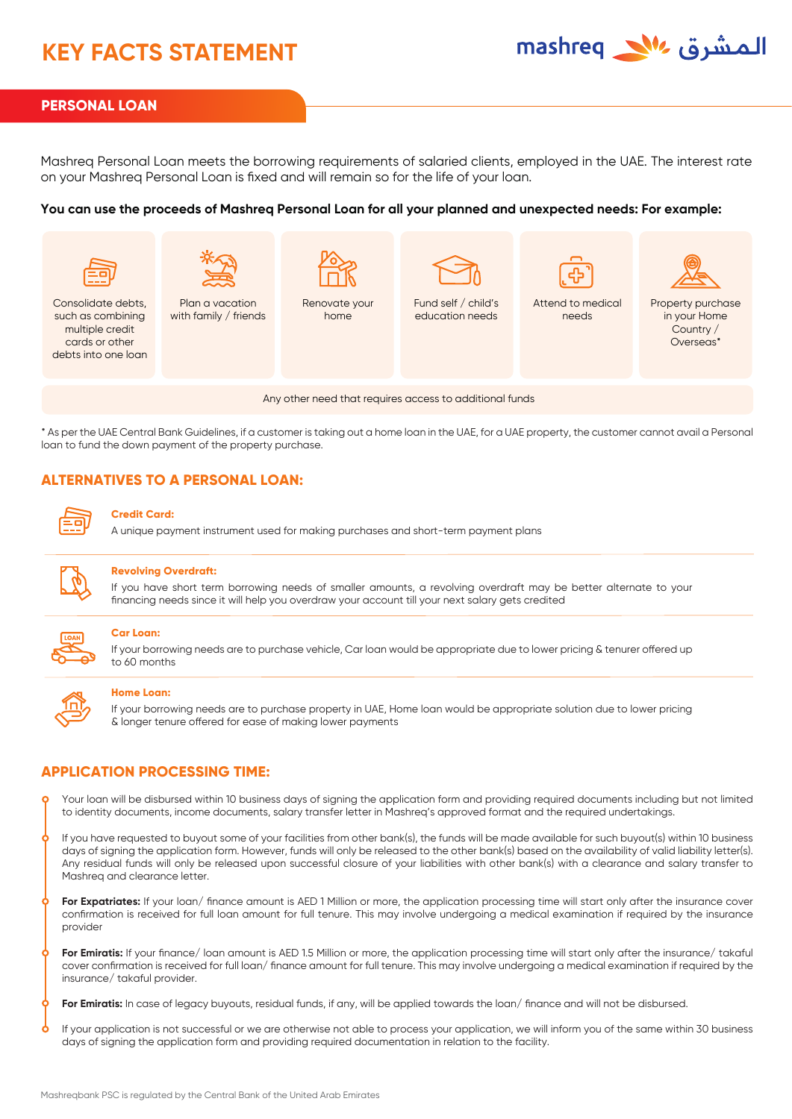# **KEY FACTS STATEMENT**



## **PERSONAL LOAN**

Mashreq Personal Loan meets the borrowing requirements of salaried clients, employed in the UAE. The interest rate on your Mashreq Personal Loan is fixed and will remain so for the life of your loan.

#### **You can use the proceeds of Mashreq Personal Loan for all your planned and unexpected needs: For example:**



\* As per the UAE Central Bank Guidelines, if a customer is taking out a home loan in the UAE, for a UAE property, the customer cannot avail a Personal loan to fund the down payment of the property purchase.

# **ALTERNATIVES TO A PERSONAL LOAN:**

#### **Credit Card:**

A unique payment instrument used for making purchases and short-term payment plans



#### **Revolving Overdraft:**

If you have short term borrowing needs of smaller amounts, a revolving overdraft may be better alternate to your financing needs since it will help you overdraw your account till your next salary gets credited



#### **Car Loan:**

If your borrowing needs are to purchase vehicle, Car loan would be appropriate due to lower pricing & tenurer offered up to 60 months

| the property of the con-<br>٠ |  |
|-------------------------------|--|

#### **Home Loan:**

If your borrowing needs are to purchase property in UAE, Home loan would be appropriate solution due to lower pricing & longer tenure offered for ease of making lower payments

### **APPLICATION PROCESSING TIME:**

Your loan will be disbursed within 10 business days of signing the application form and providing required documents including but not limited to identity documents, income documents, salary transfer letter in Mashreq's approved format and the required undertakings.

If you have requested to buyout some of your facilities from other bank(s), the funds will be made available for such buyout(s) within 10 business days of signing the application form. However, funds will only be released to the other bank(s) based on the availability of valid liability letter(s). Any residual funds will only be released upon successful closure of your liabilities with other bank(s) with a clearance and salary transfer to Mashreq and clearance letter.

For Expatriates: If your loan/ finance amount is AED 1 Million or more, the application processing time will start only after the insurance cover confirmation is received for full loan amount for full tenure. This may involve undergoing a medical examination if required by the insurance provider

For Emiratis: If your finance/ loan amount is AED 1.5 Million or more, the application processing time will start only after the insurance/ takaful cover confirmation is received for full loan/ finance amount for full tenure. This may involve undergoing a medical examination if required by the insurance/ takaful provider.

**For Emiratis:** In case of legacy buyouts, residual funds, if any, will be applied towards the loan/ finance and will not be disbursed.

If your application is not successful or we are otherwise not able to process your application, we will inform you of the same within 30 business days of signing the application form and providing required documentation in relation to the facility.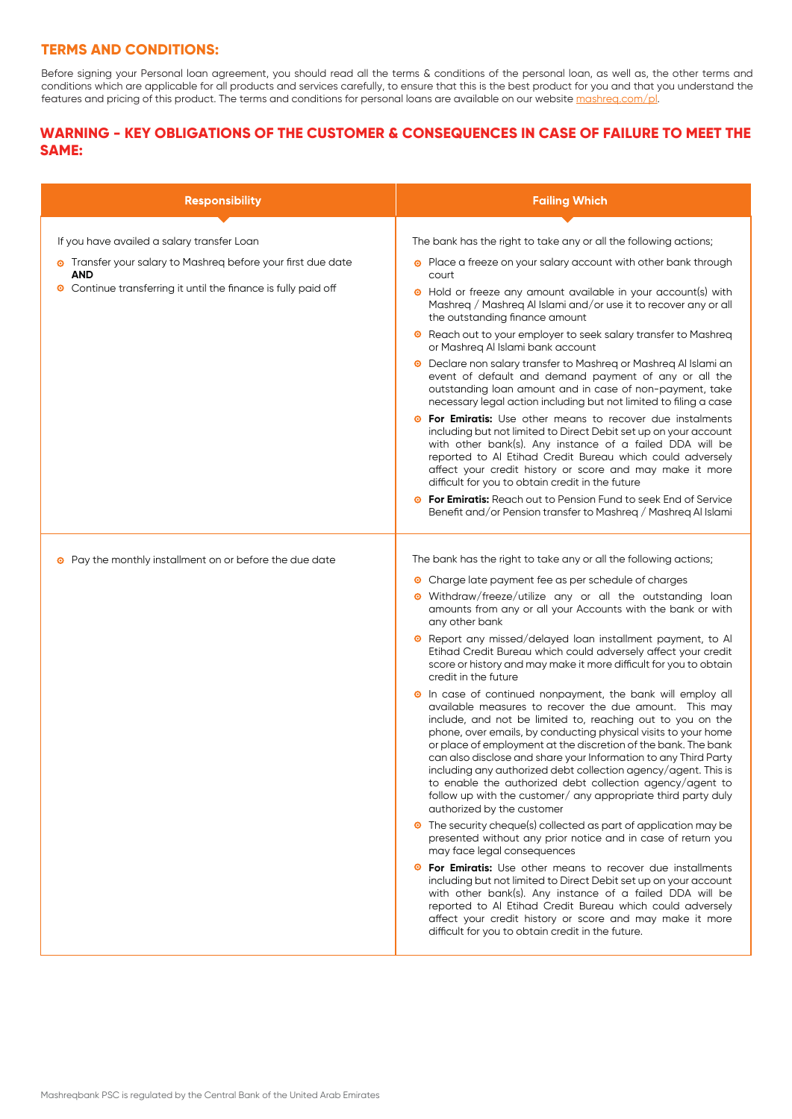# **TERMS AND CONDITIONS:**

Before signing your Personal loan agreement, you should read all the terms & conditions of the personal loan, as well as, the other terms and conditions which are applicable for all products and services carefully, to ensure that this is the best product for you and that you understand the features and pricing of this product. The terms and conditions for personal loans are available on our websit[e mashreq.com/pl.](https://www.mashreq.com/pl)

# **WARNING - KEY OBLIGATIONS OF THE CUSTOMER & CONSEQUENCES IN CASE OF FAILURE TO MEET THE SAME:**

| <b>Responsibility</b>                                               | <b>Failing Which</b>                                                                                                                                                                                                                                                                                                                                                                                                                                                                                                                                                                                                       |
|---------------------------------------------------------------------|----------------------------------------------------------------------------------------------------------------------------------------------------------------------------------------------------------------------------------------------------------------------------------------------------------------------------------------------------------------------------------------------------------------------------------------------------------------------------------------------------------------------------------------------------------------------------------------------------------------------------|
| If you have availed a salary transfer Loan                          | The bank has the right to take any or all the following actions;                                                                                                                                                                                                                                                                                                                                                                                                                                                                                                                                                           |
| • Transfer your salary to Mashreg before your first due date<br>AND | Place a freeze on your salary account with other bank through<br>◉<br>court                                                                                                                                                                                                                                                                                                                                                                                                                                                                                                                                                |
| Continue transferring it until the finance is fully paid off<br>◉   | • Hold or freeze any amount available in your account(s) with<br>Mashreg / Mashreg Al Islami and/or use it to recover any or all<br>the outstanding finance amount                                                                                                                                                                                                                                                                                                                                                                                                                                                         |
|                                                                     | Reach out to your employer to seek salary transfer to Mashreq<br>◉<br>or Mashreg Al Islami bank account                                                                                                                                                                                                                                                                                                                                                                                                                                                                                                                    |
|                                                                     | Declare non salary transfer to Mashreg or Mashreg Al Islami an<br>◉<br>event of default and demand payment of any or all the<br>outstanding loan amount and in case of non-payment, take<br>necessary legal action including but not limited to filing a case                                                                                                                                                                                                                                                                                                                                                              |
|                                                                     | <b>For Emiratis:</b> Use other means to recover due instalments<br>$\bullet$<br>including but not limited to Direct Debit set up on your account<br>with other bank(s). Any instance of a failed DDA will be<br>reported to Al Etihad Credit Bureau which could adversely<br>affect your credit history or score and may make it more<br>difficult for you to obtain credit in the future                                                                                                                                                                                                                                  |
|                                                                     | For Emiratis: Reach out to Pension Fund to seek End of Service<br>Benefit and/or Pension transfer to Mashreg / Mashreg Al Islami                                                                                                                                                                                                                                                                                                                                                                                                                                                                                           |
| • Pay the monthly installment on or before the due date             | The bank has the right to take any or all the following actions;                                                                                                                                                                                                                                                                                                                                                                                                                                                                                                                                                           |
|                                                                     | Charge late payment fee as per schedule of charges<br>◉                                                                                                                                                                                                                                                                                                                                                                                                                                                                                                                                                                    |
|                                                                     | · Withdraw/freeze/utilize any or all the outstanding loan<br>amounts from any or all your Accounts with the bank or with<br>any other bank                                                                                                                                                                                                                                                                                                                                                                                                                                                                                 |
|                                                                     | Report any missed/delayed loan installment payment, to Al<br>Etihad Credit Bureau which could adversely affect your credit<br>score or history and may make it more difficult for you to obtain<br>credit in the future                                                                                                                                                                                                                                                                                                                                                                                                    |
|                                                                     | In case of continued nonpayment, the bank will employ all<br>◉<br>available measures to recover the due amount. This may<br>include, and not be limited to, reaching out to you on the<br>phone, over emails, by conducting physical visits to your home<br>or place of employment at the discretion of the bank. The bank<br>can also disclose and share your Information to any Third Party<br>including any authorized debt collection agency/agent. This is<br>to enable the authorized debt collection agency/agent to<br>follow up with the customer/ any appropriate third party duly<br>authorized by the customer |
|                                                                     | • The security cheque(s) collected as part of application may be<br>presented without any prior notice and in case of return you<br>may face legal consequences                                                                                                                                                                                                                                                                                                                                                                                                                                                            |
|                                                                     | For Emiratis: Use other means to recover due installments<br>◉<br>including but not limited to Direct Debit set up on your account<br>with other bank(s). Any instance of a failed DDA will be<br>reported to Al Etihad Credit Bureau which could adversely<br>affect your credit history or score and may make it more<br>difficult for you to obtain credit in the future.                                                                                                                                                                                                                                               |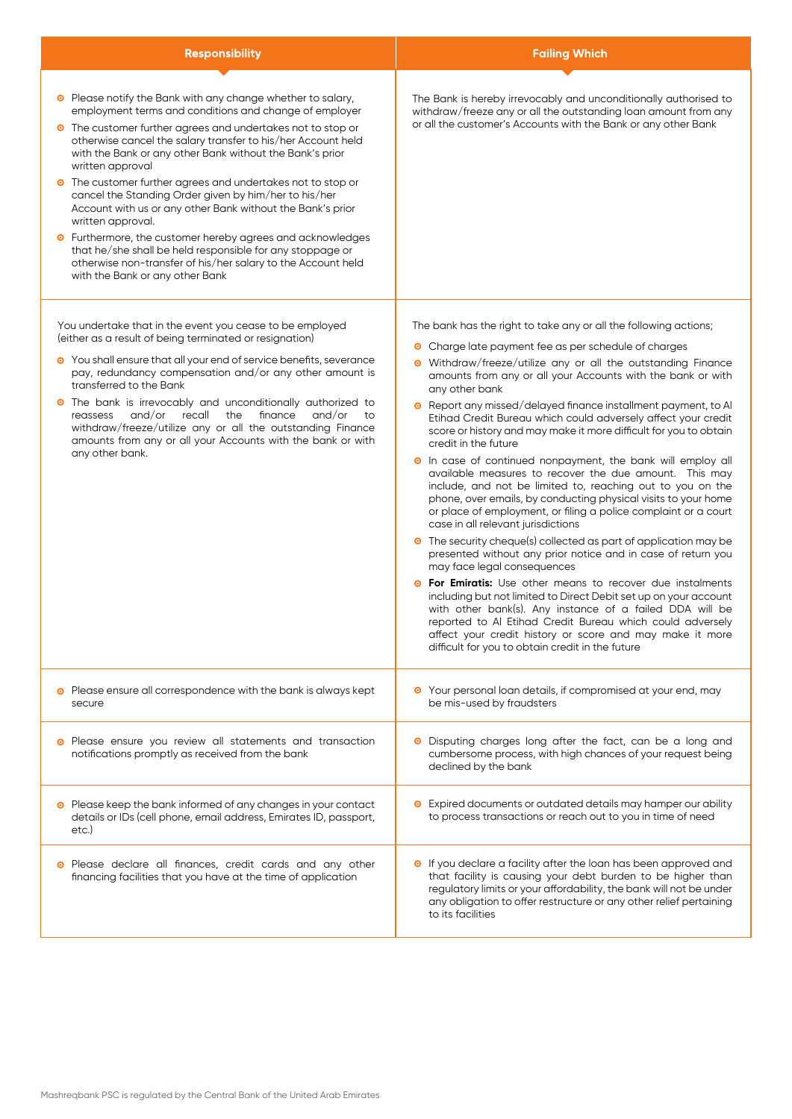| <b>Responsibility</b>                                                                                                                                                                                                                                                                                                                                                                                                                                                                                                                                                                                                                                                                                                                                                                          | <b>Failing Which</b>                                                                                                                                                                                                                                                                                                                                                                                                                                                                                                                                                                                                                                                                                                                                                                                                                                                                                                                                                                                                                                                                                                                                                                                                                                                                                                                                                                                                                      |
|------------------------------------------------------------------------------------------------------------------------------------------------------------------------------------------------------------------------------------------------------------------------------------------------------------------------------------------------------------------------------------------------------------------------------------------------------------------------------------------------------------------------------------------------------------------------------------------------------------------------------------------------------------------------------------------------------------------------------------------------------------------------------------------------|-------------------------------------------------------------------------------------------------------------------------------------------------------------------------------------------------------------------------------------------------------------------------------------------------------------------------------------------------------------------------------------------------------------------------------------------------------------------------------------------------------------------------------------------------------------------------------------------------------------------------------------------------------------------------------------------------------------------------------------------------------------------------------------------------------------------------------------------------------------------------------------------------------------------------------------------------------------------------------------------------------------------------------------------------------------------------------------------------------------------------------------------------------------------------------------------------------------------------------------------------------------------------------------------------------------------------------------------------------------------------------------------------------------------------------------------|
|                                                                                                                                                                                                                                                                                                                                                                                                                                                                                                                                                                                                                                                                                                                                                                                                |                                                                                                                                                                                                                                                                                                                                                                                                                                                                                                                                                                                                                                                                                                                                                                                                                                                                                                                                                                                                                                                                                                                                                                                                                                                                                                                                                                                                                                           |
| <sup>o</sup> Please notify the Bank with any change whether to salary,<br>employment terms and conditions and change of employer<br>• The customer further agrees and undertakes not to stop or<br>otherwise cancel the salary transfer to his/her Account held<br>with the Bank or any other Bank without the Bank's prior<br>written approval<br>The customer further agrees and undertakes not to stop or<br>◉<br>cancel the Standing Order given by him/her to his/her<br>Account with us or any other Bank without the Bank's prior<br>written approval.<br>Furthermore, the customer hereby agrees and acknowledges<br>◉<br>that he/she shall be held responsible for any stoppage or<br>otherwise non-transfer of his/her salary to the Account held<br>with the Bank or any other Bank | The Bank is hereby irrevocably and unconditionally authorised to<br>withdraw/freeze any or all the outstanding loan amount from any<br>or all the customer's Accounts with the Bank or any other Bank                                                                                                                                                                                                                                                                                                                                                                                                                                                                                                                                                                                                                                                                                                                                                                                                                                                                                                                                                                                                                                                                                                                                                                                                                                     |
| You undertake that in the event you cease to be employed<br>(either as a result of being terminated or resignation)<br>• You shall ensure that all your end of service benefits, severance<br>pay, redundancy compensation and/or any other amount is<br>transferred to the Bank<br>The bank is irrevocably and unconditionally authorized to<br>◉<br>and/or<br>recall<br>finance<br>and/or<br>reassess<br>the<br>to<br>withdraw/freeze/utilize any or all the outstanding Finance<br>amounts from any or all your Accounts with the bank or with<br>any other bank.                                                                                                                                                                                                                           | The bank has the right to take any or all the following actions;<br>Charge late payment fee as per schedule of charges<br>Withdraw/freeze/utilize any or all the outstanding Finance<br>$\bullet$<br>amounts from any or all your Accounts with the bank or with<br>any other bank<br>Report any missed/delayed finance installment payment, to Al<br>Etihad Credit Bureau which could adversely affect your credit<br>score or history and may make it more difficult for you to obtain<br>credit in the future<br><sup>o</sup> In case of continued nonpayment, the bank will employ all<br>available measures to recover the due amount. This may<br>include, and not be limited to, reaching out to you on the<br>phone, over emails, by conducting physical visits to your home<br>or place of employment, or filing a police complaint or a court<br>case in all relevant jurisdictions<br>• The security cheque(s) collected as part of application may be<br>presented without any prior notice and in case of return you<br>may face legal consequences<br>For Emiratis: Use other means to recover due instalments<br>including but not limited to Direct Debit set up on your account<br>with other bank(s). Any instance of a failed DDA will be<br>reported to Al Etihad Credit Bureau which could adversely<br>affect your credit history or score and may make it more<br>difficult for you to obtain credit in the future |
| Please ensure all correspondence with the bank is always kept<br>secure                                                                                                                                                                                                                                                                                                                                                                                                                                                                                                                                                                                                                                                                                                                        | • Your personal loan details, if compromised at your end, may<br>be mis-used by fraudsters                                                                                                                                                                                                                                                                                                                                                                                                                                                                                                                                                                                                                                                                                                                                                                                                                                                                                                                                                                                                                                                                                                                                                                                                                                                                                                                                                |
| Please ensure you review all statements and transaction<br>notifications promptly as received from the bank                                                                                                                                                                                                                                                                                                                                                                                                                                                                                                                                                                                                                                                                                    | • Disputing charges long after the fact, can be a long and<br>cumbersome process, with high chances of your request being<br>declined by the bank                                                                                                                                                                                                                                                                                                                                                                                                                                                                                                                                                                                                                                                                                                                                                                                                                                                                                                                                                                                                                                                                                                                                                                                                                                                                                         |
| • Please keep the bank informed of any changes in your contact<br>details or IDs (cell phone, email address, Emirates ID, passport,<br>etc.)                                                                                                                                                                                                                                                                                                                                                                                                                                                                                                                                                                                                                                                   | • Expired documents or outdated details may hamper our ability<br>to process transactions or reach out to you in time of need                                                                                                                                                                                                                                                                                                                                                                                                                                                                                                                                                                                                                                                                                                                                                                                                                                                                                                                                                                                                                                                                                                                                                                                                                                                                                                             |
| Please declare all finances, credit cards and any other<br>financing facilities that you have at the time of application                                                                                                                                                                                                                                                                                                                                                                                                                                                                                                                                                                                                                                                                       | • If you declare a facility after the loan has been approved and<br>that facility is causing your debt burden to be higher than<br>regulatory limits or your affordability, the bank will not be under<br>any obligation to offer restructure or any other relief pertaining<br>to its facilities                                                                                                                                                                                                                                                                                                                                                                                                                                                                                                                                                                                                                                                                                                                                                                                                                                                                                                                                                                                                                                                                                                                                         |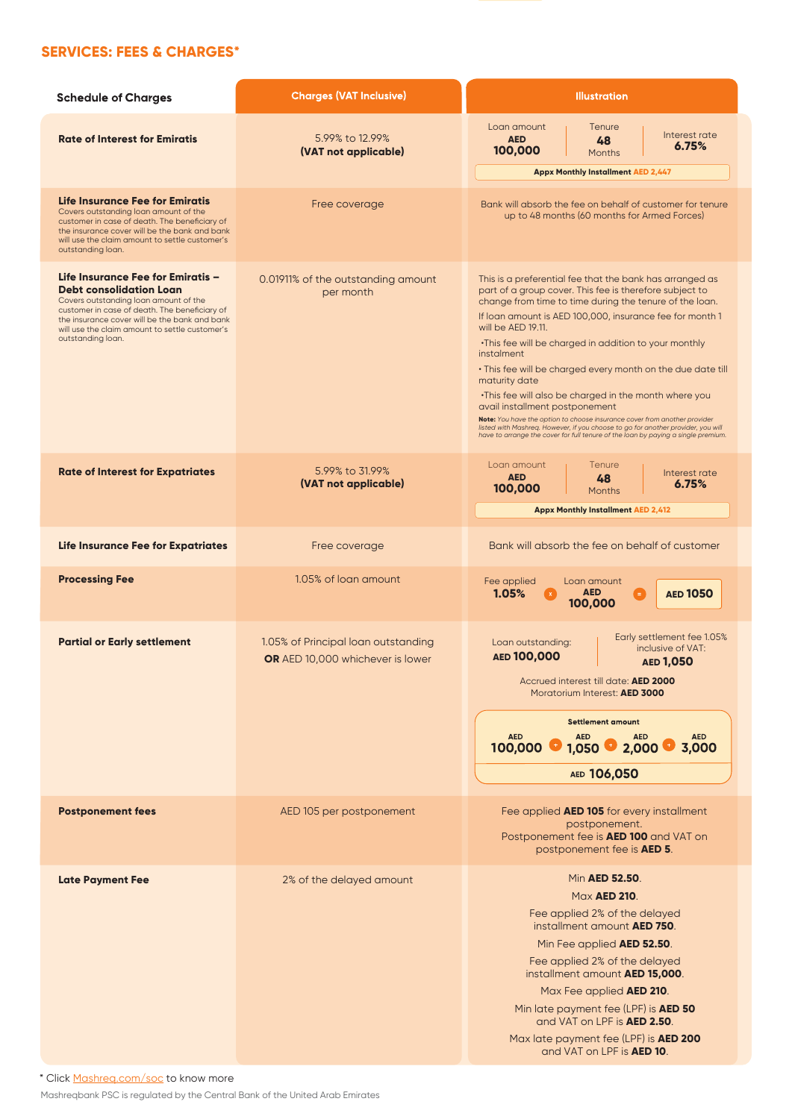# **SERVICES: FEES & CHARGES\***

| <b>Schedule of Charges</b>                                                                                                                                                                                                                                                            | <b>Charges (VAT Inclusive)</b>                                          | <b>Illustration</b>                                                                                                                                                                                                                                                                                                                                                                                                                                                                                                                                                                                                                                                                                                                                                        |  |
|---------------------------------------------------------------------------------------------------------------------------------------------------------------------------------------------------------------------------------------------------------------------------------------|-------------------------------------------------------------------------|----------------------------------------------------------------------------------------------------------------------------------------------------------------------------------------------------------------------------------------------------------------------------------------------------------------------------------------------------------------------------------------------------------------------------------------------------------------------------------------------------------------------------------------------------------------------------------------------------------------------------------------------------------------------------------------------------------------------------------------------------------------------------|--|
| <b>Rate of Interest for Emiratis</b>                                                                                                                                                                                                                                                  | 5.99% to 12.99%<br>(VAT not applicable)                                 | Loan amount<br>Tenure<br>Interest rate<br><b>AED</b><br>48<br>6.75%<br>100,000<br><b>Months</b><br><b>Appx Monthly Installment AED 2,447</b>                                                                                                                                                                                                                                                                                                                                                                                                                                                                                                                                                                                                                               |  |
| Life Insurance Fee for Emiratis<br>Covers outstanding loan amount of the<br>customer in case of death. The beneficiary of<br>the insurance cover will be the bank and bank<br>will use the claim amount to settle customer's<br>outstanding loan.                                     | Free coverage                                                           | Bank will absorb the fee on behalf of customer for tenure<br>up to 48 months (60 months for Armed Forces)                                                                                                                                                                                                                                                                                                                                                                                                                                                                                                                                                                                                                                                                  |  |
| Life Insurance Fee for Emiratis –<br><b>Debt consolidation Loan</b><br>Covers outstanding loan amount of the<br>customer in case of death. The beneficiary of<br>the insurance cover will be the bank and bank<br>will use the claim amount to settle customer's<br>outstanding loan. | 0.01911% of the outstanding amount<br>per month                         | This is a preferential fee that the bank has arranged as<br>part of a group cover. This fee is therefore subject to<br>change from time to time during the tenure of the loan.<br>If loan amount is AED 100,000, insurance fee for month 1<br>will be AED 19.11.<br>. This fee will be charged in addition to your monthly<br>instalment<br>. This fee will be charged every month on the due date till<br>maturity date<br>. This fee will also be charged in the month where you<br>avail installment postponement<br>Note: You have the option to choose insurance cover from another provider<br>listed with Mashreq. However, if you choose to go for another provider, you will<br>have to arrange the cover for full tenure of the loan by paying a single premium. |  |
| <b>Rate of Interest for Expatriates</b>                                                                                                                                                                                                                                               | 5.99% to 31.99%<br>(VAT not applicable)                                 | Loan amount<br>Tenure<br>Interest rate<br><b>AED</b><br>48<br>6.75%<br>100,000<br><b>Months</b><br><b>Appx Monthly Installment AED 2,412</b>                                                                                                                                                                                                                                                                                                                                                                                                                                                                                                                                                                                                                               |  |
| Life Insurance Fee for Expatriates                                                                                                                                                                                                                                                    | Free coverage                                                           | Bank will absorb the fee on behalf of customer                                                                                                                                                                                                                                                                                                                                                                                                                                                                                                                                                                                                                                                                                                                             |  |
| <b>Processing Fee</b>                                                                                                                                                                                                                                                                 | 1.05% of loan amount                                                    | Fee applied<br>Loan amount<br>1.05%<br><b>AED</b><br><b>AED 1050</b><br>œ.<br>100,000                                                                                                                                                                                                                                                                                                                                                                                                                                                                                                                                                                                                                                                                                      |  |
| <b>Partial or Early settlement</b>                                                                                                                                                                                                                                                    | 1.05% of Principal loan outstanding<br>OR AED 10,000 whichever is lower | Early settlement fee 1.05%<br>Loan outstanding:<br>inclusive of VAT:<br>AED 100,000<br><b>AED 1,050</b><br>Accrued interest till date: AED 2000<br>Moratorium Interest: AED 3000<br><b>Settlement amount</b><br><b>AED</b><br><b>AED</b><br><b>AED</b><br><b>AED</b><br>2,000<br>3,000<br>100,000<br>1,050<br>AED 106,050                                                                                                                                                                                                                                                                                                                                                                                                                                                  |  |
| <b>Postponement fees</b>                                                                                                                                                                                                                                                              | AED 105 per postponement                                                | Fee applied AED 105 for every installment<br>postponement.<br>Postponement fee is <b>AED 100</b> and VAT on<br>postponement fee is <b>AED 5</b> .                                                                                                                                                                                                                                                                                                                                                                                                                                                                                                                                                                                                                          |  |
| <b>Late Payment Fee</b>                                                                                                                                                                                                                                                               | 2% of the delayed amount                                                | Min <b>AED 52.50</b> .<br>Max <b>AED 210</b> .<br>Fee applied 2% of the delayed<br>installment amount <b>AED 750</b> .<br>Min Fee applied AED 52.50.<br>Fee applied 2% of the delayed<br>installment amount AED 15,000.<br>Max Fee applied AED 210.<br>Min late payment fee (LPF) is AED 50<br>and VAT on LPF is <b>AED 2.50</b> .<br>Max late payment fee (LPF) is <b>AED 200</b><br>and VAT on LPF is <b>AED 10</b> .                                                                                                                                                                                                                                                                                                                                                    |  |

\* Click [Mashreq.com/soc](https://www.mashreq.com/soc) to know more

Mashreqbank PSC is regulated by the Central Bank of the United Arab Emirates